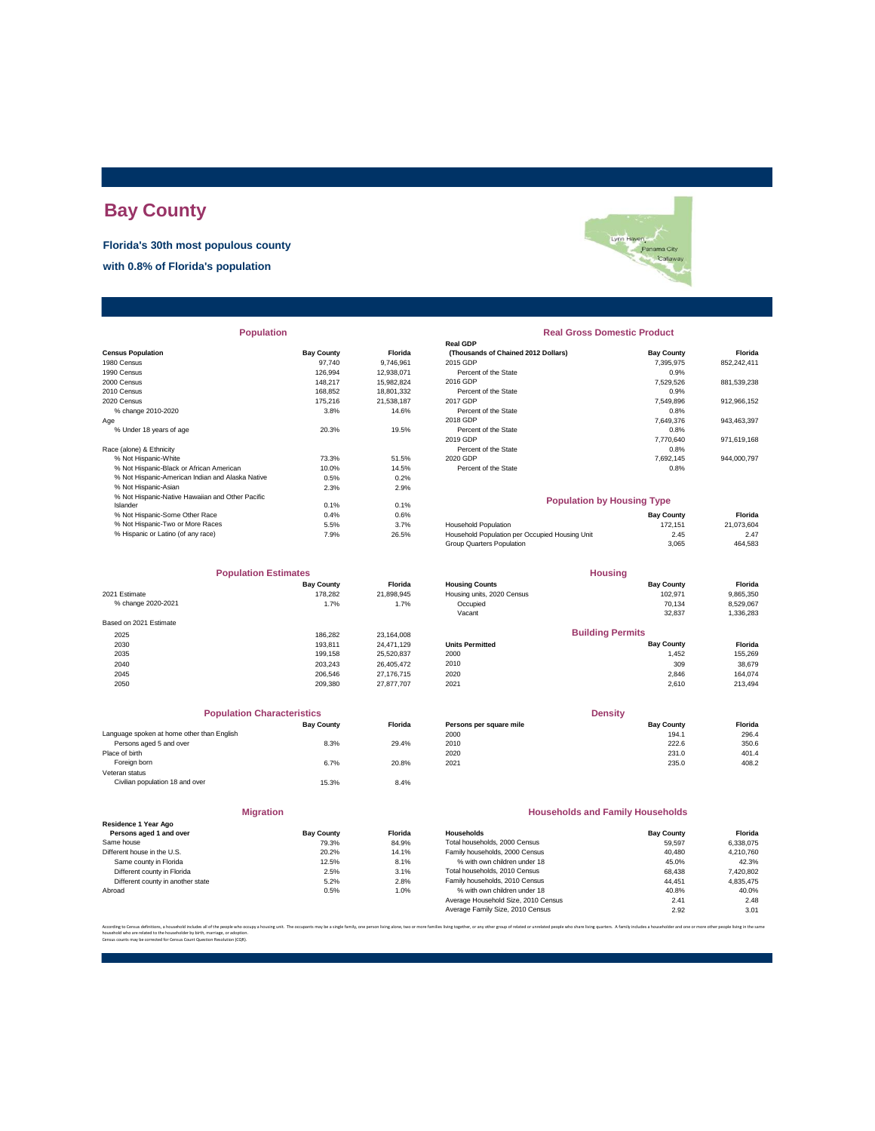## **Bay County**

**Florida's 30th most populous county**

**with 0.8% of Florida's population**

| <b>Census Population</b>                         | <b>Bay County</b> | Florida    | (Thousands of Chained 2012 Dollars)            | <b>Bay County</b> | Florida     |
|--------------------------------------------------|-------------------|------------|------------------------------------------------|-------------------|-------------|
| 1980 Census                                      | 97.740            | 9,746,961  | 2015 GDP                                       | 7,395,975         | 852,242,411 |
| 1990 Census                                      | 126,994           | 12,938,071 | Percent of the State                           | 0.9%              |             |
| 2000 Census                                      | 148.217           | 15.982.824 | 2016 GDP                                       | 7.529.526         | 881,539,238 |
| 2010 Census                                      | 168.852           | 18,801,332 | Percent of the State                           | 0.9%              |             |
| 2020 Census                                      | 175,216           | 21,538,187 | 2017 GDP                                       | 7,549,896         | 912,966,152 |
| % change 2010-2020                               | 3.8%              | 14.6%      | Percent of the State                           | 0.8%              |             |
| Age                                              |                   |            | 2018 GDP                                       | 7,649,376         | 943,463,397 |
| % Under 18 years of age                          | 20.3%             | 19.5%      | Percent of the State                           | 0.8%              |             |
|                                                  |                   |            | 2019 GDP                                       | 7.770.640         | 971,619,168 |
| Race (alone) & Ethnicity                         |                   |            | Percent of the State                           | 0.8%              |             |
| % Not Hispanic-White                             | 73.3%             | 51.5%      | 2020 GDP                                       | 7,692,145         | 944,000,797 |
| % Not Hispanic-Black or African American         | 10.0%             | 14.5%      | Percent of the State                           | 0.8%              |             |
| % Not Hispanic-American Indian and Alaska Native | 0.5%              | 0.2%       |                                                |                   |             |
| % Not Hispanic-Asian                             | 2.3%              | 2.9%       |                                                |                   |             |
| % Not Hispanic-Native Hawaiian and Other Pacific |                   |            | <b>Population by Housing Type</b>              |                   |             |
| Islander                                         | 0.1%              | 0.1%       |                                                |                   |             |
| % Not Hispanic-Some Other Race                   | 0.4%              | 0.6%       |                                                | <b>Bay County</b> | Florida     |
| % Not Hispanic-Two or More Races                 | 5.5%              | 3.7%       | Household Population                           | 172,151           | 21,073,604  |
| % Hispanic or Latino (of any race)               | 7.9%              | 26.5%      | Household Population per Occupied Housing Unit | 2.45              | 2.47        |

|                        | <b>Population Estimates</b> |            |
|------------------------|-----------------------------|------------|
|                        | <b>Bay County</b>           | Florida    |
| 2021 Estimate          | 178.282                     | 21.898.945 |
| % change 2020-2021     | 1.7%                        | 1.7%       |
| Based on 2021 Estimate |                             |            |
| 2025                   | 186.282                     | 23.164.008 |
| 2030                   | 193.811                     | 24.471.129 |
| 2035                   | 199.158                     | 25.520.837 |
| 2040                   | 203.243                     | 26.405.472 |
| 2045                   | 206.546                     | 27.176.715 |
| 2050                   | 209.380                     | 27 877 707 |

| <b>Population Characteristics</b>          |                   |         | <b>Density</b>          |                                         |         |
|--------------------------------------------|-------------------|---------|-------------------------|-----------------------------------------|---------|
|                                            | <b>Bay County</b> | Florida | Persons per square mile | <b>Bay County</b>                       | Florida |
| Language spoken at home other than English |                   |         | 2000                    | 194.1                                   | 296.4   |
| Persons aged 5 and over                    | 8.3%              | 29.4%   | 2010                    | 222.6                                   | 350.6   |
| Place of birth                             |                   |         | 2020                    | 231.0                                   | 401.4   |
| Foreign born                               | 6.7%              | 20.8%   | 2021                    | 235.0                                   | 408.2   |
| Veteran status                             |                   |         |                         |                                         |         |
| Civilian population 18 and over            | 15.3%             | 8.4%    |                         |                                         |         |
| <b>Migration</b>                           |                   |         |                         | <b>Households and Family Households</b> |         |
| Residence 1 Year Ago                       |                   |         |                         |                                         |         |

| Persons aged 1 and over           | <b>Bay County</b> | Florida |
|-----------------------------------|-------------------|---------|
| Same house                        | 79.3%             | 84.9%   |
| Different house in the U.S.       | 20.2%             | 14.1%   |
| Same county in Florida            | 12.5%             | 8.1%    |
| Different county in Florida       | 2.5%              | 3.1%    |
| Different county in another state | 5.2%              | 2.8%    |
| Abroad                            | 0.5%              | 1.0%    |
|                                   |                   |         |

# Lynn Haven<br>Panama City<br>Panama City

#### **Population Real Gross Domestic Product**

| sus Population                           | <b>Bay County</b> | Florida    | (Thousands of Chained 2012 Dollars) | <b>Bay County</b> | <b>Florida</b> |
|------------------------------------------|-------------------|------------|-------------------------------------|-------------------|----------------|
| 0 Census                                 | 97.740            | 9.746.961  | 2015 GDP                            | 7.395.975         | 852.242.411    |
| 0 Census                                 | 126.994           | 12.938.071 | Percent of the State                | 0.9%              |                |
| 0 Census                                 | 148.217           | 15.982.824 | 2016 GDP                            | 7.529.526         | 881,539,238    |
| 0 Census                                 | 168,852           | 18,801,332 | Percent of the State                | 0.9%              |                |
| 0 Census                                 | 175.216           | 21.538.187 | 2017 GDP                            | 7.549.896         | 912,966,152    |
| % change 2010-2020                       | 3.8%              | 14.6%      | Percent of the State                | 0.8%              |                |
|                                          |                   |            | 2018 GDP                            | 7.649.376         | 943.463.397    |
| % Under 18 years of age                  | 20.3%             | 19.5%      | Percent of the State                | 0.8%              |                |
|                                          |                   |            | 2019 GDP                            | 7.770.640         | 971.619.168    |
| e (alone) & Ethnicity                    |                   |            | Percent of the State                | 0.8%              |                |
| % Not Hispanic-White                     | 73.3%             | 51.5%      | 2020 GDP                            | 7.692.145         | 944.000.797    |
| % Not Hispanic-Black or African American | 10.0%             | 14.5%      | Percent of the State                | 0.8%              |                |
|                                          |                   |            |                                     |                   |                |

#### **Population by Housing Type**

|                                                | <b>Bay County</b> | Florida    |
|------------------------------------------------|-------------------|------------|
| Household Population                           | 172.151           | 21.073.604 |
| Household Population per Occupied Housing Unit | 2.45              | 2.47       |
| Group Quarters Population                      | 3.065             | 464.583    |
|                                                |                   |            |

| <b>Population Estimates</b> |                   | <b>Housing</b> |                            |                         |           |
|-----------------------------|-------------------|----------------|----------------------------|-------------------------|-----------|
|                             | <b>Bay County</b> | Florida        | <b>Housing Counts</b>      | <b>Bay County</b>       | Florida   |
| 2021 Estimate               | 178.282           | 21.898.945     | Housing units, 2020 Census | 102.971                 | 9,865,350 |
| % change 2020-2021          | 1.7%              | 1.7%           | Occupied                   | 70.134                  | 8,529,067 |
|                             |                   |                | Vacant                     | 32,837                  | 1,336,283 |
| Based on 2021 Estimate      |                   |                |                            |                         |           |
| 2025                        | 186.282           | 23,164,008     |                            | <b>Building Permits</b> |           |
| 2030                        | 193.811           | 24.471.129     | <b>Units Permitted</b>     | <b>Bay County</b>       | Florida   |
| 2035                        | 199.158           | 25,520,837     | 2000                       | 1,452                   | 155,269   |
| 2040                        | 203.243           | 26.405.472     | 2010                       | 309                     | 38,679    |
| 2045                        | 206,546           | 27,176,715     | 2020                       | 2,846                   | 164.074   |
| 2050                        | 209.380           | 27.877.707     | 2021                       | 2.610                   | 213,494   |

| <b>Population Characteristics</b>       |                   |                | <b>Density</b>          |                   |         |
|-----------------------------------------|-------------------|----------------|-------------------------|-------------------|---------|
|                                         | <b>Bay County</b> | <b>Florida</b> | Persons per square mile | <b>Bay County</b> | Florida |
| quage spoken at home other than English |                   |                | 2000                    | 194.1             | 296.4   |
| Persons aged 5 and over                 | 8.3%              | 29.4%          | 2010                    | 222.6             | 350.6   |
| e of birth                              |                   |                | 2020                    | 231.0             | 401.4   |
| Foreian born                            | 6.7%              | 20.8%          | 2021                    | 235.0             | 408.2   |
|                                         |                   |                |                         |                   |         |

#### **Households and Family Households**

| Residence 1 Year Ago              |                   |         |                                     |                   |           |
|-----------------------------------|-------------------|---------|-------------------------------------|-------------------|-----------|
| Persons aged 1 and over           | <b>Bay County</b> | Florida | Households                          | <b>Bay County</b> | Florida   |
| Same house                        | 79.3%             | 84.9%   | Total households, 2000 Census       | 59.597            | 6,338,075 |
| Different house in the U.S.       | 20.2%             | 14.1%   | Family households, 2000 Census      | 40.480            | 4,210,760 |
| Same county in Florida            | 12.5%             | 8.1%    | % with own children under 18        | 45.0%             | 42.3%     |
| Different county in Florida       | 2.5%              | 3.1%    | Total households, 2010 Census       | 68.438            | 7,420,802 |
| Different county in another state | 5.2%              | 2.8%    | Family households, 2010 Census      | 44.451            | 4.835.475 |
| Abroad                            | 0.5%              | 1.0%    | % with own children under 18        | 40.8%             | 40.0%     |
|                                   |                   |         | Average Household Size, 2010 Census | 2.41              | 2.48      |
|                                   |                   |         | Average Family Size, 2010 Census    | 2.92              | 3.01      |
|                                   |                   |         |                                     |                   |           |

According to Census definitions, a household includes all of the people who cocupy a housing with. The occupants may be a single family, one person living bother, two more families living technology of related prosper func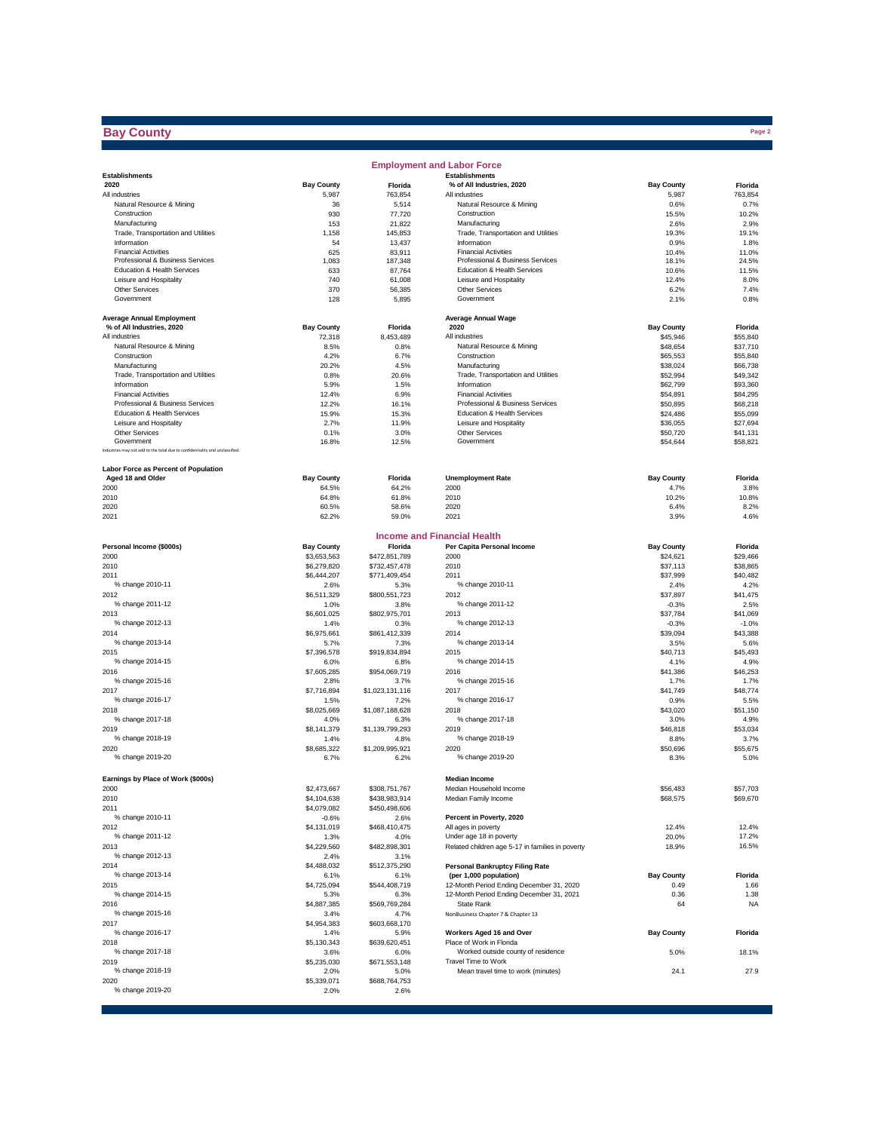### **Bay County**

e e

|                                                                             |                     |                         | <b>Employment and Labor Force</b>                    |                      |                      |
|-----------------------------------------------------------------------------|---------------------|-------------------------|------------------------------------------------------|----------------------|----------------------|
| <b>Establishments</b>                                                       |                     |                         | <b>Establishments</b>                                |                      |                      |
| 2020                                                                        | <b>Bay County</b>   | Florida                 | % of All Industries, 2020                            | <b>Bay County</b>    | Florida              |
| All industries                                                              | 5,987               | 763,854                 | All industries                                       | 5,987                | 763,854              |
| Natural Resource & Mining<br>Construction                                   | 36                  | 5,514                   | Natural Resource & Mining<br>Construction            | 0.6%                 | 0.7%<br>10.2%        |
| Manufacturing                                                               | 930<br>153          | 77,720<br>21,822        | Manufacturing                                        | 15.5%<br>2.6%        | 2.9%                 |
| Trade, Transportation and Utilities                                         | 1,158               | 145.853                 | Trade, Transportation and Utilities                  | 19.3%                | 19.1%                |
| Information                                                                 | 54                  | 13,437                  | Information                                          | 0.9%                 | 1.8%                 |
| <b>Financial Activities</b>                                                 | 625                 | 83,911                  | <b>Financial Activities</b>                          | 10.4%                | 11.0%                |
| Professional & Business Services                                            | 1,083               | 187,348                 | Professional & Business Services                     | 18.1%                | 24.5%                |
| Education & Health Services                                                 | 633                 | 87,764                  | Education & Health Services                          | 10.6%                | 11.5%                |
| Leisure and Hospitality                                                     | 740                 | 61,008                  | Leisure and Hospitality                              | 12.4%                | 8.0%                 |
| <b>Other Services</b>                                                       | 370                 | 56,385                  | Other Services                                       | 6.2%                 | 7.4%                 |
| Government                                                                  | 128                 | 5,895                   | Government                                           | 2.1%                 | 0.8%                 |
|                                                                             |                     |                         |                                                      |                      |                      |
| <b>Average Annual Employment</b>                                            |                     |                         | <b>Average Annual Wage</b>                           |                      |                      |
| % of All Industries, 2020                                                   | <b>Bay County</b>   | Florida                 | 2020                                                 | <b>Bay County</b>    | Florida              |
| All industries<br>Natural Resource & Mining                                 | 72,318              | 8,453,489               | All industries<br>Natural Resource & Mining          | \$45,946<br>\$48.654 | \$55,840             |
| Construction                                                                | 8.5%                | 0.8%                    | Construction                                         |                      | \$37,710             |
| Manufacturing                                                               | 4.2%<br>20.2%       | 6.7%<br>4.5%            | Manufacturing                                        | \$65,553<br>\$38,024 | \$55,840<br>\$66,738 |
| Trade, Transportation and Utilities                                         |                     |                         | Trade, Transportation and Utilities                  |                      |                      |
| Information                                                                 | 0.8%<br>5.9%        | 20.6%<br>1.5%           | Information                                          | \$52,994<br>\$62,799 | \$49,342<br>\$93,360 |
| <b>Financial Activities</b>                                                 | 12.4%               | 6.9%                    | <b>Financial Activities</b>                          | \$54,891             | \$84,295             |
| Professional & Business Services                                            | 12.2%               | 16.1%                   | Professional & Business Services                     | \$50,895             | \$68,218             |
| Education & Health Services                                                 | 15.9%               | 15.3%                   | Education & Health Services                          | \$24,486             | \$55,099             |
| Leisure and Hospitality                                                     | 2.7%                | 11.9%                   | Leisure and Hospitality                              | \$36,055             | \$27,694             |
| <b>Other Services</b>                                                       | 0.1%                | 3.0%                    | Other Services                                       | \$50,720             | \$41,131             |
| Government                                                                  | 16.8%               | 12.5%                   | Government                                           | \$54,644             | \$58,821             |
| Industries may not add to the total due to confidentiality and unclassified |                     |                         |                                                      |                      |                      |
| Labor Force as Percent of Population                                        |                     |                         |                                                      |                      |                      |
| Aged 18 and Older                                                           | <b>Bay County</b>   | Florida                 | <b>Unemployment Rate</b>                             | <b>Bay County</b>    | Florida              |
| 2000                                                                        | 64.5%               | 64.2%                   | 2000                                                 | 4.7%                 | 3.8%                 |
| 2010                                                                        | 64.8%               | 61.8%                   | 2010                                                 | 10.2%                | 10.8%                |
| 2020                                                                        | 60.5%               | 58.6%                   | 2020                                                 | 6.4%                 | 8.2%                 |
| 2021                                                                        | 62.2%               | 59.0%                   | 2021                                                 | 3.9%                 | 4.6%                 |
|                                                                             |                     |                         | <b>Income and Financial Health</b>                   |                      |                      |
| Personal Income (\$000s)                                                    | <b>Bay County</b>   | Florida                 | Per Capita Personal Income                           | <b>Bay County</b>    | Florida              |
| 2000                                                                        | \$3,653,563         | \$472,851,789           | 2000                                                 | \$24,621             | \$29,466             |
| 2010                                                                        | \$6,279,820         | \$732,457,478           | 2010                                                 | \$37,113             | \$38,865             |
| 2011                                                                        | \$6,444,207         | \$771,409,454           | 2011                                                 | \$37,999             | \$40,482             |
| % change 2010-11                                                            | 2.6%                | 5.3%                    | % change 2010-11                                     | 2.4%                 | 4.2%                 |
| 2012                                                                        | \$6,511,329         | \$800,551,723           | 2012                                                 | \$37,897             | \$41,475             |
| % change 2011-12                                                            | 1.0%                | 3.8%                    | % change 2011-12                                     | $-0.3%$              | 2.5%                 |
| 2013                                                                        | \$6,601,025         | \$802,975,701           | 2013                                                 | \$37,784             | \$41,069             |
| % change 2012-13                                                            | 1.4%                | 0.3%                    | % change 2012-13                                     | $-0.3%$              | $-1.0%$              |
| 2014                                                                        | \$6,975,661         | \$861,412,339           | 2014                                                 | \$39,094             | \$43,388             |
| % change 2013-14                                                            | 5.7%                | 7.3%                    | % change 2013-14                                     | 3.5%                 | 5.6%                 |
| 2015                                                                        | \$7,396,578         | \$919,834,894           | 2015                                                 | \$40,713             | \$45,493             |
| % change 2014-15                                                            | 6.0%                | 6.8%                    | % change 2014-15                                     | 4.1%                 | 4.9%                 |
| 2016                                                                        | \$7,605,285         | \$954,069,719           | 2016                                                 | \$41,386             | \$46,253             |
| % change 2015-16                                                            | 2.8%                | 3.7%                    | % change 2015-16                                     | 1.7%                 | 1.7%                 |
| 2017                                                                        | \$7,716,894         | \$1,023,131,116         | 2017                                                 | \$41,749             | \$48,774             |
| % change 2016-17                                                            | 1.5%                | 7.2%                    | % change 2016-17                                     | 0.9%                 | 5.5%                 |
| 2018                                                                        | \$8,025,669         | \$1,087,188,628         | 2018                                                 | \$43,020             | \$51,150             |
| % change 2017-18                                                            | 4.0%                | 6.3%                    | % change 2017-18                                     | 3.0%                 | 4.9%                 |
| 2019                                                                        | \$8,141,379         | \$1,139,799,293         | 2019                                                 | \$46,818             | \$53,034             |
| % change 2018-19                                                            | 1.4%                | 4.8%                    | % change 2018-19                                     | 8.8%                 | 3.7%                 |
| 2020<br>% change 2019-20                                                    | \$8,685,322<br>6.7% | \$1,209,995,921<br>6.2% | 2020<br>% change 2019-20                             | \$50,696<br>8.3%     | \$55,675<br>5.0%     |
|                                                                             |                     |                         |                                                      |                      |                      |
| Earnings by Place of Work (\$000s)                                          |                     |                         | <b>Median Income</b>                                 |                      |                      |
| 2000                                                                        | \$2,473,667         | \$308,751,767           | Median Household Income                              | \$56,483             | \$57,703             |
| 2010                                                                        | \$4,104,638         | \$438,983,914           | Median Family Income                                 | \$68,575             | \$69,670             |
| 2011                                                                        | \$4,079,082         | \$450,498,606           |                                                      |                      |                      |
| % change 2010-11                                                            | $-0.6%$             | 2.6%                    | Percent in Poverty, 2020                             |                      |                      |
| 2012                                                                        | \$4,131,019         | \$468,410,475           | All ages in poverty                                  | 12.4%                | 12.4%                |
| % change 2011-12                                                            | 1.3%                | 4.0%                    | Under age 18 in poverty                              | 20.0%                | 17.2%                |
| 2013                                                                        | \$4,229,560         | \$482,898,301           | Related children age 5-17 in families in poverty     | 18.9%                | 16.5%                |
| % change 2012-13                                                            | 2.4%                | 3.1%                    |                                                      |                      |                      |
| 2014                                                                        | \$4,488,032         | \$512,375,290           | <b>Personal Bankruptcy Filing Rate</b>               |                      |                      |
| % change 2013-14                                                            | 6.1%                | 6.1%                    | (per 1,000 population)                               | <b>Bay County</b>    | Florida              |
| 2015                                                                        | \$4,725,094         | \$544,408,719           | 12-Month Period Ending December 31, 2020             | 0.49                 | 1.66                 |
| % change 2014-15                                                            | 5.3%                | 6.3%                    | 12-Month Period Ending December 31, 2021             | 0.36                 | 1.38                 |
| 2016                                                                        | \$4,887,385         | \$569,769,284           | State Rank                                           | 64                   | <b>NA</b>            |
| % change 2015-16                                                            | 3.4%                | 4.7%                    | NonBusiness Chapter 7 & Chapter 13                   |                      |                      |
| 2017<br>% change 2016-17                                                    | \$4,954,383         | \$603,668,170           |                                                      |                      |                      |
|                                                                             | 1.4%                | 5.9%                    | Workers Aged 16 and Over<br>Place of Work in Florida | <b>Bay County</b>    | Florida              |
| 2018<br>% change 2017-18                                                    | \$5,130,343         | \$639,620,451           | Worked outside county of residence                   |                      |                      |
|                                                                             | 3.6%                | 6.0%                    | Travel Time to Work                                  | 5.0%                 | 18.1%                |
| 2019<br>% change 2018-19                                                    | \$5,235,030         | \$671,553,148           |                                                      |                      | 27.9                 |
| 2020                                                                        | 2.0%<br>\$5,339,071 | 5.0%<br>\$688,764,753   | Mean travel time to work (minutes)                   | 24.1                 |                      |
| % change 2019-20                                                            | 2.0%                | 2.6%                    |                                                      |                      |                      |
|                                                                             |                     |                         |                                                      |                      |                      |

**Page 2**<br>Page 2